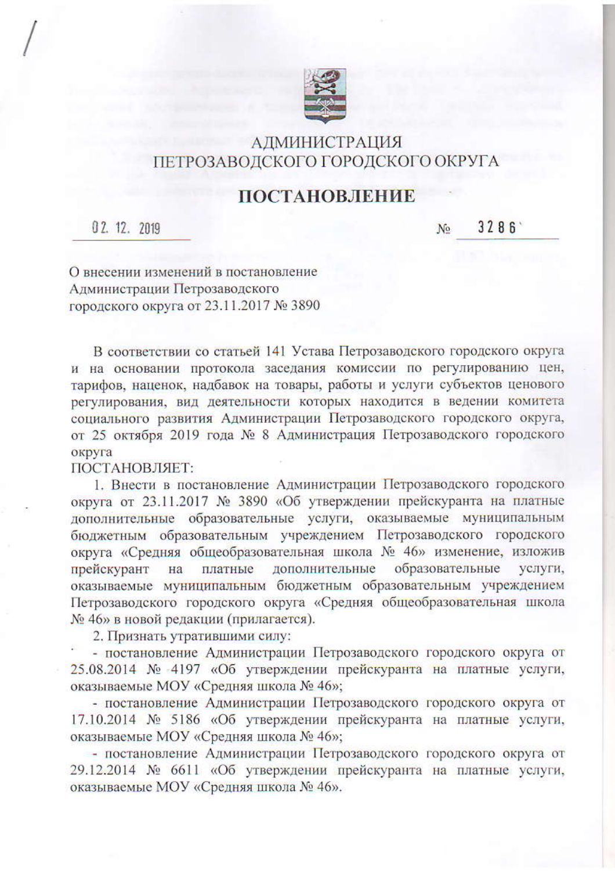

## АДМИНИСТРАЦИЯ ПЕТРОЗАВОДСКОГО ГОРОДСКОГО ОКРУГА

## **ПОСТАНОВЛЕНИЕ**

02. 12. 2019

3286  $N<sub>2</sub>$ 

О внесении изменений в постановление Администрации Петрозаводского городского округа от 23.11.2017 № 3890

В соответствии со статьей 141 Устава Петрозаводского городского округа и на основании протокола заседания комиссии по регулированию цен, тарифов, наценок, надбавок на товары, работы и услуги субъектов ценового регулирования, вид деятельности которых находится в ведении комитета социального развития Администрации Петрозаводского городского округа, от 25 октября 2019 года № 8 Администрация Петрозаводского городского округа

ПОСТАНОВЛЯЕТ:

1. Внести в постановление Администрации Петрозаводского городского округа от 23.11.2017 № 3890 «Об утверждении прейскуранта на платные дополнительные образовательные услуги, оказываемые муниципальным бюджетным образовательным учреждением Петрозаводского городского округа «Средняя общеобразовательная школа № 46» изменение, изложив дополнительные образовательные прейскурант на платные услуги, оказываемые муниципальным бюджетным образовательным учреждением Петрозаводского городского округа «Средняя общеобразовательная школа № 46» в новой редакции (прилагается).

2. Признать утратившими силу:

- постановление Администрации Петрозаводского городского округа от 25.08.2014 № 4197 «Об утверждении прейскуранта на платные услуги, оказываемые МОУ «Средняя школа № 46»;

- постановление Администрации Петрозаводского городского округа от 17.10.2014 № 5186 «Об утверждении прейскуранта на платные услуги, оказываемые МОУ «Средняя школа № 46»;

- постановление Администрации Петрозаводского городского округа от 29.12.2014 № 6611 «Об утверждении прейскуранта на платные услуги, оказываемые МОУ «Средняя школа № 46».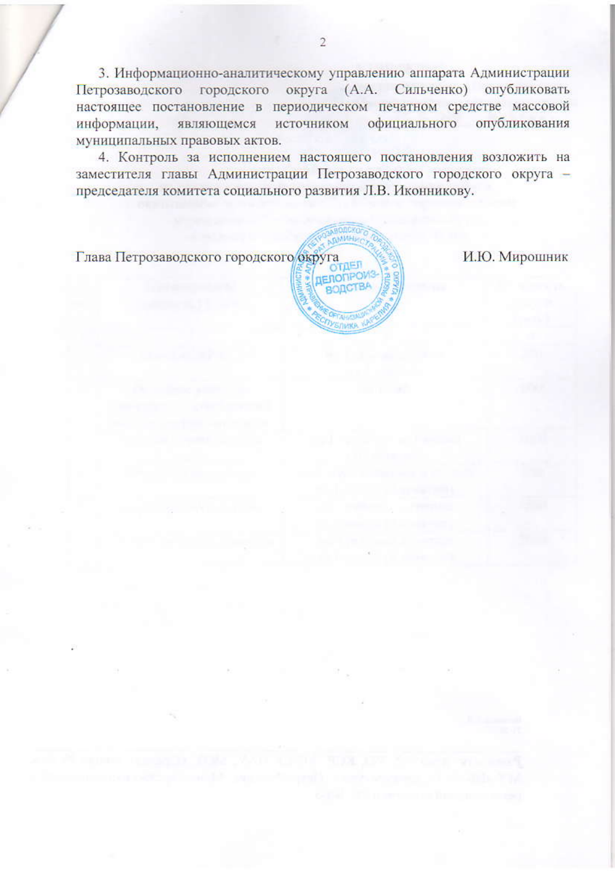3. Информационно-аналитическому управлению аппарата Администрации Петрозаводского городского округа (А.А. Сильченко) опубликовать настоящее постановление в периодическом печатном средстве массовой информации, являющемся источником официального опубликования муниципальных правовых актов.

4. Контроль за исполнением настоящего постановления возложить на заместителя главы Администрации Петрозаводского городского округа председателя комитета социального развития Л.В. Иконникову.

Глава Петрозаводского городского округа

ERONP

И.Ю. Мирошник